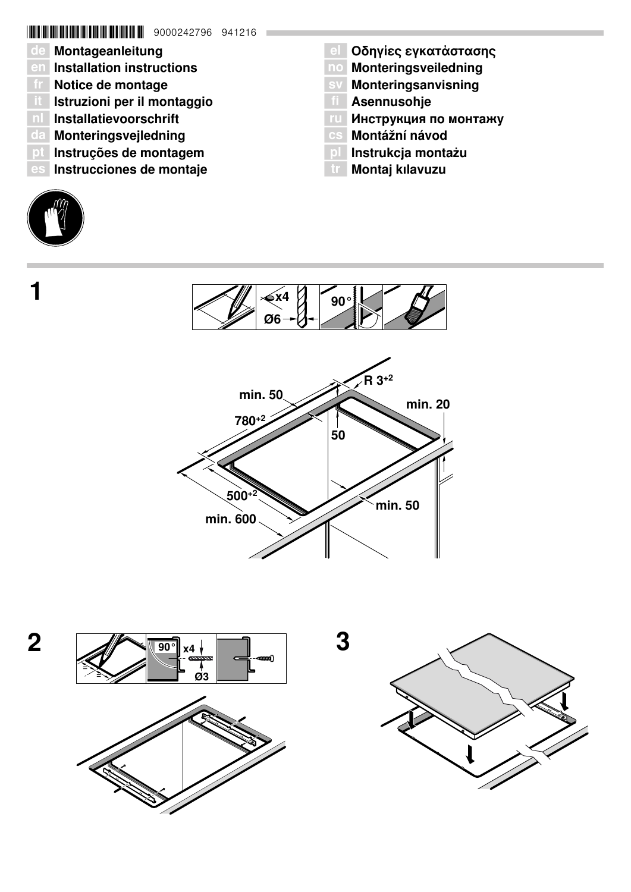# \*9000242796\* 9000242796 941216

- de Montageanleitung
- en Installation instructions
- fr Notice de montage
- â Istruzioni per il montaggio
- nl Installatievoorschrift
- da Monteringsvejledning
- pt Instruções de montagem
- es Instrucciones de montaje
- 

 $\mathbf 1$ 

- **el Οδηγίες εγκατάστασης**
- no Monteringsveiledning
- sv Monteringsanvisning
- **TI** Asennusohje
- ги Инструкция по монтажу
- cs Montážní návod
- pl Instrukcja montażu
- **tr** Montaj kılavuzu







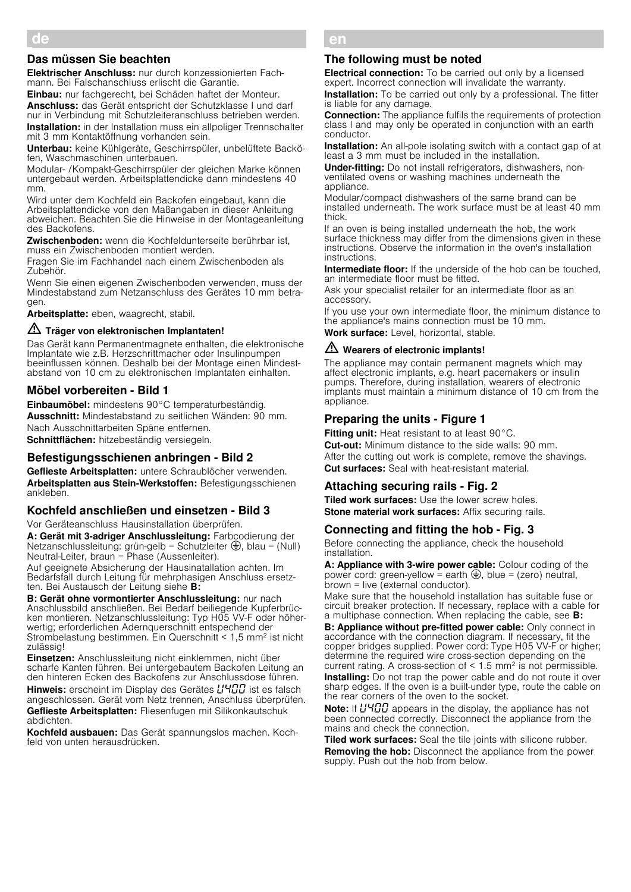## Das müssen Sie beachten

Elektrischer Anschluss: nur durch konzessionierten Fachmann. Bei Falschanschluss erlischt die Garantie.

Einbau: nur fachgerecht, bei Schäden haftet der Monteur. Anschluss: das Gerät entspricht der Schutzklasse I und darf

nur in Verbindung mit Schutzleiteranschluss betrieben werden. **Installation:** in der Installation muss ein allpoliger Trennschalter mit 3 mm Kontaktöffnung vorhanden sein.

Unterbau: keine Kühlgeräte, Geschirrspüler, unbelüftete Backöfen, Waschmaschinen unterbauen.

Modular- /Kompakt-Geschirrspüler der gleichen Marke können untergebaut werden. Arbeitsplattendicke dann mindestens 40 mm.

Wird unter dem Kochfeld ein Backofen eingebaut, kann die Arbeitsplattendicke von den Maßangaben in dieser Anleitung abweichen. Beachten Sie die Hinweise in der Montageanleitung des Backofens.

Zwischenboden: wenn die Kochfeldunterseite berührbar ist, muss ein Zwischenboden montiert werden.

Fragen Sie im Fachhandel nach einem Zwischenboden als Zubehör.

Wenn Sie einen eigenen Zwischenboden verwenden, muss der Mindestabstand zum Netzanschluss des Gerätes 10 mm betragen.

Arbeitsplatte: eben, waagrecht, stabil.

# $\triangle$  Träger von elektronischen Implantaten!

Das Gerät kann Permanentmagnete enthalten, die elektronische Implantate wie z.B. Herzschrittmacher oder Insulinpumpen beeinflussen können. Deshalb bei der Montage einen Mindestabstand von 10 cm zu elektronischen Implantaten einhalten.

# Möbel vorbereiten - Bild 1

Einbaumöbel: mindestens 90°C temperaturbeständig. Ausschnitt: Mindestabstand zu seitlichen Wänden: 90 mm. Nach Ausschnittarbeiten Späne entfernen. Schnittflächen: hitzebeständig versiegeln.

# Befestigungsschienen anbringen - Bild 2

Geflieste Arbeitsplatten: untere Schraublöcher verwenden. Arbeitsplatten aus Stein-Werkstoffen: Befestigungsschienen ankleben.

### Kochfeld anschließen und einsetzen - Bild 3

Vor Geräteanschluss Hausinstallation überprüfen.

A: Gerät mit 3-adriger Anschlussleitung: Farbcodierung der Netzanschlussleitung: grün-gelb = Schutzleiter  $\bigoplus$ , blau = (Null) Neutral-Leiter, braun = Phase (Aussenleiter).

Auf geeignete Absicherung der Hausinatallation achten. Im Bedarfsfall durch Leitung für mehrphasigen Anschluss ersetzten. Bei Austausch der Leitung siehe B:

B: Gerät ohne vormontierter Anschlussleitung: nur nach Anschlussbild anschließen. Bei Bedarf beiliegende Kupferbrücken montieren. Netzanschlussleitung: Typ H05 VV-F oder höherwertig; erforderlichen Adernquerschnitt entspechend der Strombelastung bestimmen. Ein Querschnitt < 1,5 mm2 ist nicht zulässig!

Einsetzen: Anschlussleitung nicht einklemmen, nicht über scharfe Kanten führen. Bei untergebautem Backofen Leitung an den hinteren Ecken des Backofens zur Anschlussdose führen.

**Hinweis:** erscheint im Display des Gerätes  $\frac{1}{4}$   $\frac{1}{4}$  ist es falsch angeschlossen. Gerät vom Netz trennen, Anschluss überprüfen. Geflieste Arbeitsplatten: Fliesenfugen mit Silikonkautschuk abdichten.

Kochfeld ausbauen: Das Gerät spannungslos machen. Kochfeld von unten herausdrücken.

#### en Ú Installation instructions

### The following must be noted

**Electrical connection:** To be carried out only by a licensed expert. Incorrect connection will invalidate the warranty.

**Installation:** To be carried out only by a professional. The fitter is liable for any damage.

Connection: The appliance fulfils the requirements of protection class I and may only be operated in conjunction with an earth conductor.

**Installation:** An all-pole isolating switch with a contact gap of at least a 3 mm must be included in the installation.

Under-fitting: Do not install refrigerators, dishwashers, nonventilated ovens or washing machines underneath the appliance.

Modular/compact dishwashers of the same brand can be installed underneath. The work surface must be at least 40 mm thick.

If an oven is being installed underneath the hob, the work surface thickness may differ from the dimensions given in these instructions. Observe the information in the oven's installation instructions.

Intermediate floor: If the underside of the hob can be touched, an intermediate floor must be fitted.

Ask your specialist retailer for an intermediate floor as an accessory.

If you use your own intermediate floor, the minimum distance to the appliance's mains connection must be 10 mm.

Work surface: Level, horizontal, stable.

# $\sqrt{\Delta}$  Wearers of electronic implants!

The appliance may contain permanent magnets which may affect electronic implants, e.g. heart pacemakers or insulin pumps. Therefore, during installation, wearers of electronic implants must maintain a minimum distance of 10 cm from the appliance.

# Preparing the units - Figure 1

Fitting unit: Heat resistant to at least 90°C. **Cut-out:** Minimum distance to the side walls: 90 mm. After the cutting out work is complete, remove the shavings. **Cut surfaces:** Seal with heat-resistant material.

# Attaching securing rails - Fig. 2

**Tiled work surfaces:** Use the lower screw holes. Stone material work surfaces: Affix securing rails.

# Connecting and fitting the hob - Fig. 3

Before connecting the appliance, check the household installation.

A: Appliance with 3-wire power cable: Colour coding of the power cord: green-yellow = earth  $\bigoplus$ , blue = (zero) neutral, brown = live (external conductor).

Make sure that the household installation has suitable fuse or circuit breaker protection. If necessary, replace with a cable for a multiphase connection. When replacing the cable, see B:

**B: Appliance without pre-fitted power cable:** Only connect in accordance with the connection diagram. If necessary, fit the copper bridges supplied. Power cord: Type H05 VV-F or higher; determine the required wire cross-section depending on the current rating. A cross-section of  $\leq 1.5$  mm<sup>2</sup> is not permissible.

Installing: Do not trap the power cable and do not route it over sharp edges. If the oven is a built-under type, route the cable on the rear corners of the oven to the socket.

Note: If HHHH appears in the display, the appliance has not been connected correctly. Disconnect the appliance from the mains and check the connection.

Tiled work surfaces: Seal the tile joints with silicone rubber. Removing the hob: Disconnect the appliance from the power supply. Push out the hob from below.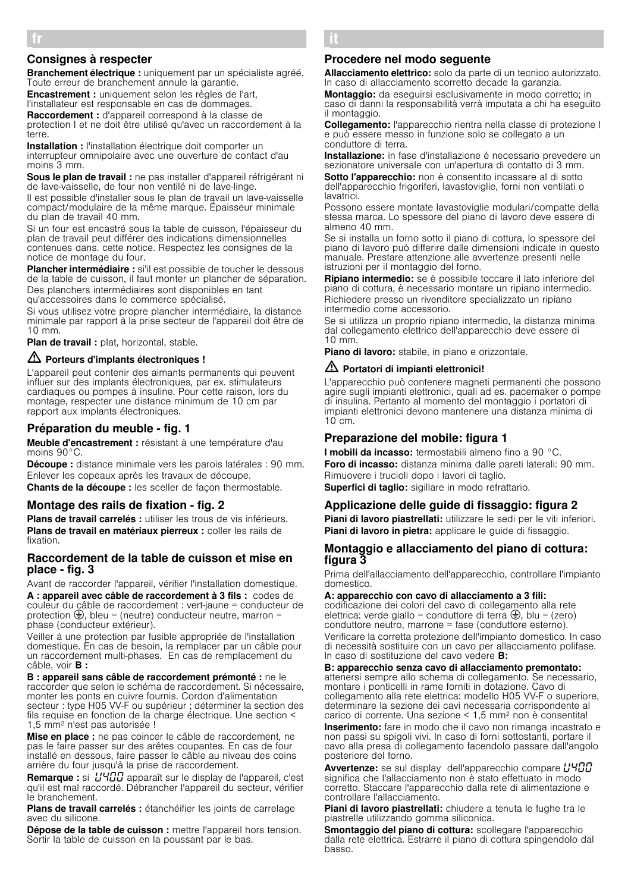# Consignes à respecter

Branchement électrique : uniquement par un spécialiste agréé. Toute erreur de branchement annule la garantie.

Encastrement : uniquement selon les règles de l'art, l'installateur est responsable en cas de dommages. Raccordement : d'appareil correspond à la classe de

protection I et ne doit être utilisé qu'avec un raccordement à la terre.

Installation : l'installation électrique doit comporter un interrupteur omnipolaire avec une ouverture de contact d'au moins 3 mm.

Sous le plan de travail : ne pas installer d'appareil réfrigérant ni de lave-vaisselle, de four non ventilé ni de lave-linge.

Il est possible d'installer sous le plan de travail un lave-vaisselle compact/modulaire de la même marque. Épaisseur minimale du plan de travail 40 mm.

Si un four est encastré sous la table de cuisson, l'épaisseur du plan de travail peut différer des indications dimensionnelles contenues dans. cette notice. Respectez les consignes de la notice de montage du four.

Plancher intermédiaire : si'il est possible de toucher le dessous de la table de cuisson, il faut monter un plancher de séparation. Des planchers intermédiaires sont disponibles en tant

qu'accessoires dans le commerce spécialisé.

Si vous utilisez votre propre plancher intermédiaire, la distance minimale par rapport à la prise secteur de l'appareil doit être de 10 mm.

Plan de travail : plat, horizontal, stable.

# $\triangle$  Porteurs d'implants électroniques !

L'appareil peut contenir des aimants permanents qui peuvent influer sur des implants électroniques, par ex. stimulateurs cardiaques ou pompes à insuline. Pour cette raison, lors du montage, respecter une distance minimum de 10 cm par rapport aux implants électroniques.

# Préparation du meuble - fig. 1

Meuble d'encastrement : résistant à une température d'au moins 90°C.

Découpe : distance minimale vers les parois latérales : 90 mm. Enlever les copeaux après les travaux de découpe. Chants de la découpe : les sceller de façon thermostable.

### Montage des rails de fixation - fig. 2

Plans de travail carrelés : utiliser les trous de vis inférieurs. Plans de travail en matériaux pierreux : coller les rails de fixation.

### Raccordement de la table de cuisson et mise en place - fig. 3

Avant de raccorder l'appareil, vérifier l'installation domestique. A : appareil avec câble de raccordement à 3 fils : codes de couleur du câble de raccordement : vert-jaune = conducteur de protection  $\bigoplus$ , bleu = (neutre) conducteur neutre, marron = phase (conducteur extérieur).

Veiller à une protection par fusible appropriée de l'installation domestique. En cas de besoin, la remplacer par un câble pour un raccordement multi-phases. En cas de remplacement du câble, voir **B** :

B : appareil sans câble de raccordement prémonté : ne le raccorder que selon le schéma de raccordement. Si nécessaire, monter les ponts en cuivre fournis. Cordon d'alimentation secteur : type H05 VV-F ou supérieur ; déterminer la section des fils requise en fonction de la charge électrique. Une section < 1,5 mm2 n'est pas autorisée !

Mise en place : ne pas coincer le câble de raccordement, ne pas le faire passer sur des arêtes coupantes. En cas de four installé en dessous, faire passer le câble au niveau des coins arrière du four jusqu'à la prise de raccordement.

Remarque : si  $U\Psi$ <sup>1</sup> apparaît sur le display de l'appareil, c'est qu'il est mal raccordé. Débrancher l'appareil du secteur, vérifier le branchement.

Plans de travail carrelés : étanchéifier les joints de carrelage avec du silicone.

Dépose de la table de cuisson : mettre l'appareil hors tension. Sortir la table de cuisson en la poussant par le bas.

# â Istruzioni per il montaggio

### Procedere nel modo seguente

Allacciamento elettrico: solo da parte di un tecnico autorizzato. In caso di allacciamento scorretto decade la garanzia.

Montaggio: da eseguirsi esclusivamente in modo corretto; in caso di danni la responsabilità verrà imputata a chi ha eseguito il montaggio.

Collegamento: l'apparecchio rientra nella classe di protezione l e può essere messo in funzione solo se collegato a un conduttore di terra.

Installazione: in fase d'installazione è necessario prevedere un sezionatore universale con un'apertura di contatto di 3 mm.

Sotto l'apparecchio: non è consentito incassare al di sotto dell'apparecchio frigoriferi, lavastoviglie, forni non ventilati o lavatrici.

Possono essere montate lavastoviglie modulari/compatte della stessa marca. Lo spessore del piano di lavoro deve essere di almeno 40 mm.

Se si installa un forno sotto il piano di cottura, lo spessore del piano di lavoro può differire dalle dimensioni indicate in questo manuale. Prestare attenzione alle avvertenze presenti nelle istruzioni per il montaggio del forno.

Ripiano intermedio: se è possibile toccare il lato inferiore del piano di cottura, è necessario montare un ripiano intermedio. Richiedere presso un rivenditore specializzato un ripiano intermedio come accessorio.

Se si utilizza un proprio ripiano intermedio, la distanza minima dal collegamento elettrico dell'apparecchio deve essere di 10 mm.

Piano di lavoro: stabile, in piano e orizzontale.

### $\sqrt{D}$  Portatori di impianti elettronici!

L'apparecchio può contenere magneti permanenti che possono agire sugli impianti elettronici, quali ad es. pacemaker o pompe di insulina. Pertanto al momento del montaggio i portatori di impianti elettronici devono mantenere una distanza minima di 10 cm.

# Preparazione del mobile: figura 1

I mobili da incasso: termostabili almeno fino a 90 °C. Foro di incasso: distanza minima dalle pareti laterali: 90 mm. Rimuovere i trucioli dopo i lavori di taglio. Superfici di taglio: sigillare in modo refrattario.

### Applicazione delle guide di fissaggio: figura 2

Piani di lavoro piastrellati: utilizzare le sedi per le viti inferiori. Piani di lavoro in pietra: applicare le guide di fissaggio.

### Montaggio e allacciamento del piano di cottura: figura 3

Prima dell'allacciamento dell'apparecchio, controllare l'impianto domestico.

### A: apparecchio con cavo di allacciamento a 3 fili:

codificazione dei colori del cavo di collegamento alla rete elettrica: verde giallo = conduttore di terra  $\bigoplus$ , blu = (zero) conduttore neutro, marrone = fase (conduttore esterno). Verificare la corretta protezione dell'impianto domestico. In caso di necessità sostituire con un cavo per allacciamento polifase. In caso di sostituzione del cavo vedere B:

B: apparecchio senza cavo di allacciamento premontato: attenersi sempre allo schema di collegamento. Se necessario, montare i ponticelli in rame forniti in dotazione. Cavo di collegamento alla rete elettrica: modello H05 VV-F o superiore, determinare la sezione dei cavi necessaria corrispondente al carico di corrente. Una sezione < 1,5 mm2 non è consentita!

Inserimento: fare in modo che il cavo non rimanga incastrato e non passi su spigoli vivi. In caso di forni sottostanti, portare il cavo alla presa di collegamento facendolo passare dall'angolo posteriore del forno.

Avvertenze: se sul display dell'apparecchio compare L'HOO significa che l'allacciamento non è stato effettuato in modo corretto. Staccare l'apparecchio dalla rete di alimentazione e controllare l'allacciamento.

Piani di lavoro piastrellati: chiudere a tenuta le fughe tra le piastrelle utilizzando gomma siliconica.

Smontaggio del piano di cottura: scollegare l'apparecchio dalla rete elettrica. Estrarre il piano di cottura spingendolo dal basso.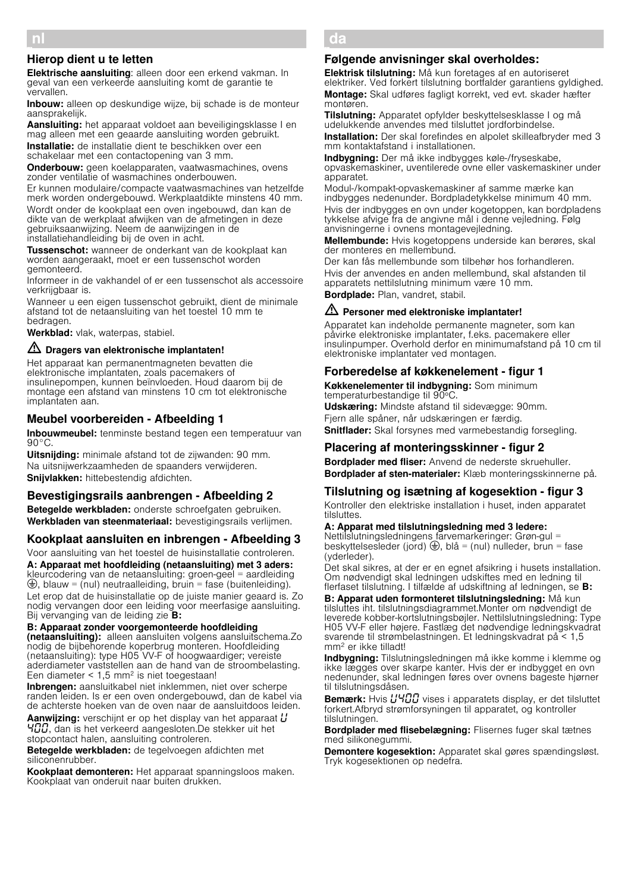# Hierop dient u te letten

Elektrische aansluiting: alleen door een erkend vakman. In geval van een verkeerde aansluiting komt de garantie te vervallen.

Inbouw: alleen op deskundige wijze, bij schade is de monteur aansprakelijk.

Aansluiting: het apparaat voldoet aan beveiligingsklasse I en mag alleen met een geaarde aansluiting worden gebruikt. Installatie: de installatie dient te beschikken over een schakelaar met een contactopening van 3 mm.

**Onderbouw:** geen koelapparaten, vaatwasmachines, ovens zonder ventilatie of wasmachines onderbouwen.

Er kunnen modulaire/compacte vaatwasmachines van hetzelfde merk worden ondergebouwd. Werkplaatdikte minstens 40 mm. Wordt onder de kookplaat een oven ingebouwd, dan kan de dikte van de werkplaat afwijken van de afmetingen in deze gebruiksaanwijzing. Neem de aanwijzingen in de installatiehandleiding bij de oven in acht.

Tussenschot: wanneer de onderkant van de kookplaat kan worden aangeraakt, moet er een tussenschot worden gemonteerd.

Informeer in de vakhandel of er een tussenschot als accessoire verkrijgbaar is.

Wanneer u een eigen tussenschot gebruikt, dient de minimale afstand tot de netaansluiting van het toestel 10 mm te bedragen.

Werkblad: vlak, waterpas, stabiel.

### $\sqrt{D}$  Dragers van elektronische implantaten!

Het apparaat kan permanentmagneten bevatten die elektronische implantaten, zoals pacemakers of insulinepompen, kunnen beïnvloeden. Houd daarom bij de montage een afstand van minstens 10 cm tot elektronische implantaten aan.

# Meubel voorbereiden - Afbeelding 1

Inbouwmeubel: tenminste bestand tegen een temperatuur van 90°C.

**Uitsnijding:** minimale afstand tot de zijwanden: 90 mm. Na uitsnijwerkzaamheden de spaanders verwijderen. Snijvlakken: hittebestendig afdichten.

# Bevestigingsrails aanbrengen - Afbeelding 2

Betegelde werkbladen: onderste schroefgaten gebruiken. Werkbladen van steenmateriaal: bevestigingsrails verlijmen.

# Kookplaat aansluiten en inbrengen - Afbeelding 3

Voor aansluiting van het toestel de huisinstallatie controleren. A: Apparaat met hoofdleiding (netaansluiting) met 3 aders: kleurcodering van de netaansluiting: groen-geel = aardleiding  $\bigoplus$ , blauw = (nul) neutraalleiding, bruin = fase (buitenleiding). Let erop dat de huisinstallatie op de juiste manier geaard is. Zo nodig vervangen door een leiding voor meerfasige aansluiting. Bij vervanging van de leiding zie **B:** 

B: Apparaat zonder voorgemonteerde hoofdleiding (netaansluiting): alleen aansluiten volgens aansluitschema.Zo nodig de bijbehorende koperbrug monteren. Hoofdleiding (netaansluiting): type H05 VV-F of hoogwaardiger; vereiste aderdiameter vaststellen aan de hand van de stroombelasting. Een diameter < 1,5 mm2 is niet toegestaan!

Inbrengen: aansluitkabel niet inklemmen, niet over scherpe randen leiden. Is er een oven ondergebouwd, dan de kabel via de achterste hoeken van de oven naar de aansluitdoos leiden.

**Aanwijzing:** verschijnt er op het display van het apparaat  $L'$ 400, dan is het verkeerd aangesloten.De stekker uit het stopcontact halen, aansluiting controleren.

Betegelde werkbladen: de tegelvoegen afdichten met siliconenrubber.

Kookplaat demonteren: Het apparaat spanningsloos maken. Kookplaat van onderuit naar buiten drukken.

#### da × Monteringsvejledning

## Følgende anvisninger skal overholdes:

Elektrisk tilslutning: Må kun foretages af en autoriseret elektriker. Ved forkert tilslutning bortfalder garantiens gyldighed. Montage: Skal udføres fagligt korrekt, ved evt. skader hæfter montøren.

Tilslutning: Apparatet opfylder beskyttelsesklasse I og må udelukkende anvendes med tilsluttet jordforbindelse. **Installation:** Der skal forefindes en alpolet skilleafbryder med 3 mm kontaktafstand i installationen.

Indbygning: Der må ikke indbygges køle-/fryseskabe, opvaskemaskiner, uventilerede ovne eller vaskemaskiner under apparatet.

Modul-/kompakt-opvaskemaskiner af samme mærke kan indbygges nedenunder. Bordpladetykkelse minimum 40 mm. Hvis der indbygges en ovn under kogetoppen, kan bordpladens tykkelse afvige fra de angivne mål i denne vejledning. Følg anvisningerne i ovnens montagevejledning.

Mellembunde: Hvis kogetoppens underside kan berøres, skal der monteres en mellembund.

Der kan fås mellembunde som tilbehør hos forhandleren. Hvis der anvendes en anden mellembund, skal afstanden til apparatets nettilslutning minimum være 10 mm.

Bordplade: Plan, vandret, stabil.

### $\sqrt{2}$  Personer med elektroniske implantater!

Apparatet kan indeholde permanente magneter, som kan påvirke elektroniske implantater, f.eks. pacemakere eller insulinpumper. Overhold derfor en minimumafstand på 10 cm til elektroniske implantater ved montagen.

# Forberedelse af køkkenelement - figur 1

Køkkenelementer til indbygning: Som minimum temperaturbestandige til 90ºC.

Udskæring: Mindste afstand til sidevægge: 90mm. Fjern alle spåner, når udskæringen er færdig. Snitflader: Skal forsynes med varmebestandig forsegling.

# Placering af monteringsskinner - figur 2

Bordplader med fliser: Anvend de nederste skruehuller. Bordplader af sten-materialer: Klæb monteringsskinnerne på.

# Tilslutning og isætning af kogesektion figur 3

Kontroller den elektriske installation i huset, inden apparatet tilsluttes.

### A: Apparat med tilslutningsledning med 3 ledere:

Nettilslutningsledningens farvemarkeringer: Grøn-gul = beskyttelsesleder (jord)  $\bigoplus$ , blå = (nul) nulleder, brun = fase (yderleder).

Det skal sikres, at der er en egnet afsikring i husets installation. Om nødvendigt skal ledningen udskiftes med en ledning til flerfaset tilslutning. I tilfælde af udskiftning af ledningen, se B:

B: Apparat uden formonteret tilslutningsledning: Må kun tilsluttes iht. tilslutningsdiagrammet.Monter om nødvendigt de leverede kobber-kortslutningsbøjler. Nettilslutningsledning: Type H05 VV-F eller højere. Fastlæg det nødvendige ledningskvadrat svarende til strømbelastningen. Et ledningskvadrat på < 1,5 mm2 er ikke tilladt!

Indbygning: Tilslutningsledningen må ikke komme i klemme og ikke lægges over skarpe kanter. Hvis der er indbygget en ovn nedenunder, skal ledningen føres over ovnens bageste hjørner til tilslutningsdåsen.

Bemærk: Hvis *L'HOO* vises i apparatets display, er det tilsluttet forkert.Afbryd strømforsyningen til apparatet, og kontroller tilslutningen.

Bordplader med flisebelægning: Flisernes fuger skal tætnes med silikonegummi.

Demontere kogesektion: Apparatet skal gøres spændingsløst. Tryk kogesektionen op nedefra.

nl é Installatievoorschrift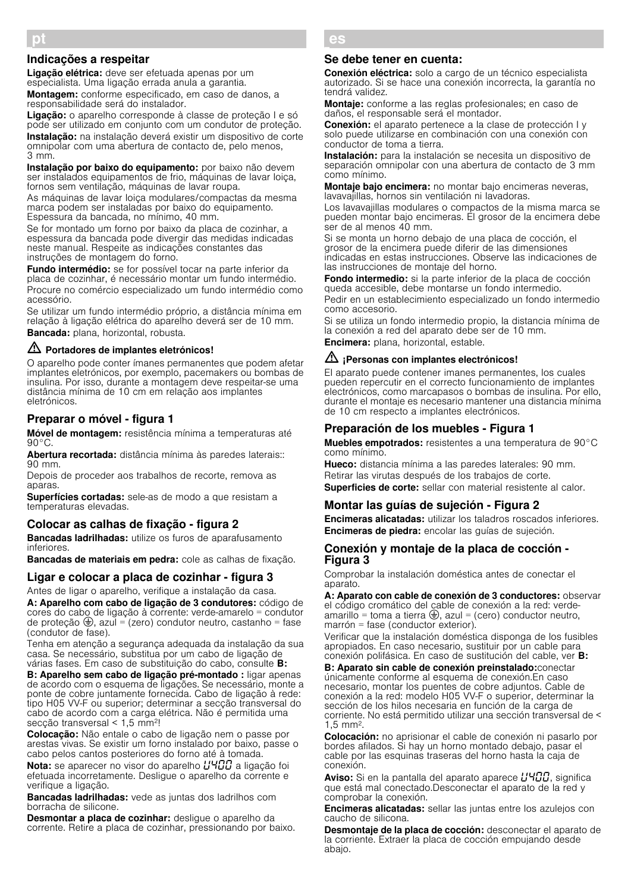### Indicações a respeitar

Ligação elétrica: deve ser efetuada apenas por um especialista. Uma ligação errada anula a garantia.

Montagem: conforme especificado, em caso de danos, a responsabilidade será do instalador.

Ligação: o aparelho corresponde à classe de proteção I e só pode ser utilizado em conjunto com um condutor de proteção. Instalação: na instalação deverá existir um dispositivo de corte omnipolar com uma abertura de contacto de, pelo menos, 3 mm.

Instalação por baixo do equipamento: por baixo não devem ser instalados equipamentos de frio, máquinas de lavar loiça, fornos sem ventilação, máquinas de lavar roupa.

As máquinas de lavar loiça modulares/compactas da mesma marca podem ser instaladas por baixo do equipamento. Espessura da bancada, no mínimo, 40 mm.

Se for montado um forno por baixo da placa de cozinhar, a espessura da bancada pode divergir das medidas indicadas neste manual. Respeite as indicações constantes das instruções de montagem do forno.

Fundo intermédio: se for possível tocar na parte inferior da placa de cozinhar, é necessário montar um fundo intermédio. Procure no comércio especializado um fundo intermédio como acessório.

Se utilizar um fundo intermédio próprio, a distância mínima em relação à ligação elétrica do aparelho deverá ser de 10 mm. Bancada: plana, horizontal, robusta.

# $\triangle$  Portadores de implantes eletrónicos!

O aparelho pode conter ímanes permanentes que podem afetar implantes eletrónicos, por exemplo, pacemakers ou bombas de insulina. Por isso, durante a montagem deve respeitar-se uma distância mínima de 10 cm em relação aos implantes eletrónicos.

# Preparar o móvel - figura 1

Móvel de montagem: resistência mínima a temperaturas até  $90^{\circ}$ C.

Abertura recortada: distância mínima às paredes laterais:: 90 mm.

Depois de proceder aos trabalhos de recorte, remova as aparas

Superfícies cortadas: sele-as de modo a que resistam a temperaturas elevadas.

### Colocar as calhas de fixação - figura 2

Bancadas ladrilhadas: utilize os furos de aparafusamento inferiores.

Bancadas de materiais em pedra: cole as calhas de fixação.

# Ligar e colocar a placa de cozinhar - figura 3

Antes de ligar o aparelho, verifique a instalação da casa. A: Aparelho com cabo de ligação de 3 condutores: código de cores do cabo de ligação à corrente: verde-amarelo = condutor de proteção  $\bigoplus$ , azul = (zero) condutor neutro, castanho = fase (condutor de fase).

Tenha em atenção a segurança adequada da instalação da sua casa. Se necessário, substitua por um cabo de ligação de várias fases. Em caso de substituição do cabo, consulte B:

B: Aparelho sem cabo de ligação pré-montado : ligar apenas de acordo com o esquema de ligações. Se necessário, monte a ponte de cobre juntamente fornecida. Cabo de ligação à rede: tipo H05 VV-F ou superior; determinar a secção transversal do cabo de acordo com a carga elétrica. Não é permitida uma secção transversal < 1,5 mm2!

Colocação: Não entale o cabo de ligação nem o passe por arestas vivas. Se existir um forno instalado por baixo, passe o cabo pelos cantos posteriores do forno até à tomada.

Nota: se aparecer no visor do aparelho  $\mu$ 400 a ligação foi efetuada incorretamente. Desligue o aparelho da corrente e verifique a ligação.

Bancadas ladrilhadas: vede as juntas dos ladrilhos com borracha de silicone.

Desmontar a placa de cozinhar: deslique o aparelho da corrente. Retire a placa de cozinhar, pressionando por baixo.

#### es Û Instrucciones de montaje

### Se debe tener en cuenta:

Conexión eléctrica: solo a cargo de un técnico especialista autorizado. Si se hace una conexión incorrecta, la garantía no tendrá validez.

Montaje: conforme a las reglas profesionales; en caso de daños, el responsable será el montador.

Conexión: el aparato pertenece a la clase de protección I y solo puede utilizarse en combinación con una conexión con conductor de toma a tierra.

Instalación: para la instalación se necesita un dispositivo de separación omnipolar con una abertura de contacto de 3 mm como mínimo.

Montaje bajo encimera: no montar bajo encimeras neveras, lavavajillas, hornos sin ventilación ni lavadoras.

Los lavavajillas modulares o compactos de la misma marca se pueden montar bajo encimeras. El grosor de la encimera debe ser de al menos 40 mm.

Si se monta un horno debajo de una placa de cocción, el grosor de la encimera puede diferir de las dimensiones indicadas en estas instrucciones. Observe las indicaciones de las instrucciones de montaje del horno.

Fondo intermedio: si la parte inferior de la placa de cocción queda accesible, debe montarse un fondo intermedio.

Pedir en un establecimiento especializado un fondo intermedio como accesorio.

Si se utiliza un fondo intermedio propio, la distancia mínima de la conexión a red del aparato debe ser de 10 mm.

Encimera: plana, horizontal, estable.

### $\langle \mathbf{r} \rangle$  ¡Personas con implantes electrónicos!

El aparato puede contener imanes permanentes, los cuales pueden repercutir en el correcto funcionamiento de implantes electrónicos, como marcapasos o bombas de insulina. Por ello, durante el montaje es necesario mantener una distancia mínima de 10 cm respecto a implantes electrónicos.

# Preparación de los muebles - Figura 1

Muebles empotrados: resistentes a una temperatura de 90°C como mínimo.

Hueco: distancia mínima a las paredes laterales: 90 mm. Retirar las virutas después de los trabajos de corte. Superficies de corte: sellar con material resistente al calor.

### Montar las guías de sujeción - Figura 2

Encimeras alicatadas: utilizar los taladros roscados inferiores. Encimeras de piedra: encolar las guías de sujeción.

### Conexión y montaje de la placa de cocción - Figura 3

Comprobar la instalación doméstica antes de conectar el aparato.

A: Aparato con cable de conexión de 3 conductores: observar el código cromático del cable de conexión a la red: verdeamarillo = toma a tierra  $\bigoplus$ , azul = (cero) conductor neutro, marrón = fase (conductor exterior).

Verificar que la instalación doméstica disponga de los fusibles apropiados. En caso necesario, sustituir por un cable para conexión polifásica. En caso de sustitución del cable, ver B:

B: Aparato sin cable de conexión preinstalado:conectar únicamente conforme al esquema de conexión.En caso necesario, montar los puentes de cobre adjuntos. Cable de conexión a la red: modelo H05 VV-F o superior, determinar la sección de los hilos necesaria en función de la carga de corriente. No está permitido utilizar una sección transversal de < 1,5 mm2.

Colocación: no aprisionar el cable de conexión ni pasarlo por bordes afilados. Si hay un horno montado debajo, pasar el cable por las esquinas traseras del horno hasta la caja de conexión.

**Aviso:** Si en la pantalla del aparato aparece  $\mu$ H $\mu$ , significa que está mal conectado.Desconectar el aparato de la red y comprobar la conexión.

Encimeras alicatadas: sellar las juntas entre los azulejos con caucho de silicona.

Desmontaje de la placa de cocción: desconectar el aparato de la corriente. Extraer la placa de cocción empujando desde abajo.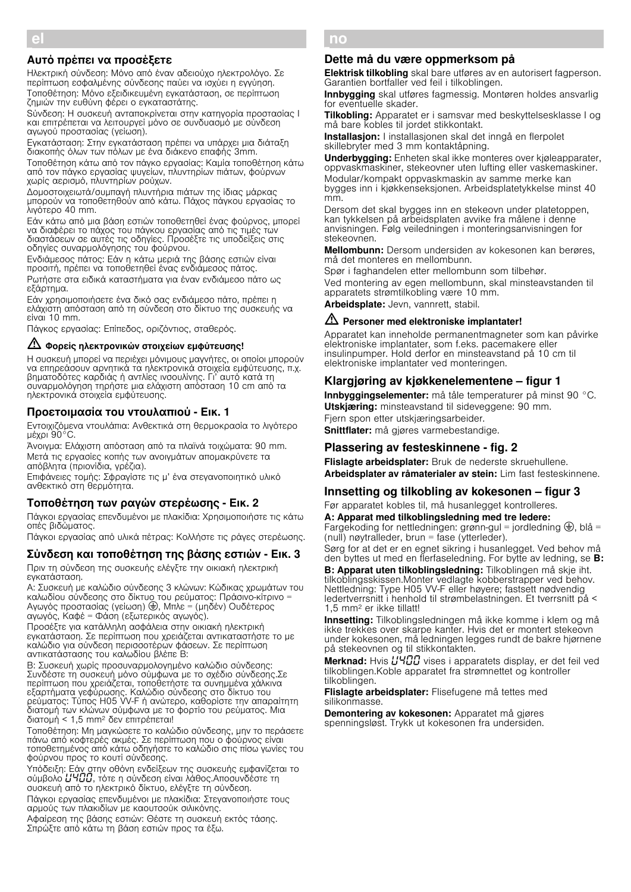### Αυτό πρέπει να προσέξετε

Ηλεκτρική σύνδεση: Μόνο από έναν αδειούχο ηλεκτρολόγο. Σε περίπτωση εσφαλμένης σύνδεσης παύει να ισχύει η εγγύηση. Τοποθέτηση: Μόνο εξειδικευμένη εγκατάσταση, σε περίπτωση ζημιών την ευθύνη φέρει ο εγκαταστάτης.

Sύνδεση: Η συσκευή ανταποκρίνεται στην κατηγορία προστασίας I και επιτρέπεται να λειτουργεί μόνο σε συνδυασμό με σύνδεση αγωγού προστασίας (γείωση).

Εγκατάσταση: Στην εγκατάσταση πρέπει να υπάρχει μια διάταξη διακοπής όλων των πόλων με ένα διάκενο επαφής 3mm.

Τοποθέτηση κάτω από τον πάγκο εργασίας: Καμία τοποθέτηση κάτω από τον πάγκο εργασίας ψυγείων, πλυντηρίων πιάτων, φούρνων χωρίς αερισμό, πλυντηρίων ρούχων.

Δομοστοιχειωτά/συμπαγή πλυντήρια πιάτων της ίδιας μάρκας μπορούν να τοποθετηθούν από κάτω. Πάχος πάγκου εργασίας το λιγότερο 40 mm.

Εάν κάτω από μια βάση εστιών τοποθετηθεί ένας φούρνος, μπορεί να διαφέρει το πάχος του πάγκου εργασίας από τις τιμές των διαστάσεων σε αυτές τις οδηγίες. Προσέξτε τις υποδείξεις στις οδηγίες συναρμολόγησης του φούρνου.

Ενδιάμεσος πάτος: Εάν η κάτω μεριά της βάσης εστιών είναι προσιτή, πρέπει να τοποθετηθεί ένας ενδιάμεσος πάτος. Ρωτήστε στα ειδικά καταστήματα για έναν ενδιάμεσο πάτο ως εξάρτημα.

Εάν χρησιμοποιήσετε ένα δικό σας ενδιάμεσο πάτο, πρέπει η ελάχιστη απόσταση από τη σύνδεση στο δίκτυο της συσκευής να είναι 10 mm.

Πάγκος εργασίας: Επίπεδος, οριζόντιος, σταθερός.

# m Φορείς ηλεκτρονικών στοιχείων εμφύτευσης!

Η συσκευή μπορεί να περιέχει μόνιμους μαγνήτες, οι οποίοι μπορούν να επηρεάσουν αρνητικά τα ηλεκτρονικά στοιχεία εμφύτευσης, π.χ. βηματοδότες καρδιάς ή αντλίες ινσουλίνης. Γι' αυτό κατά τη συναρμολόγηση τηρήστε μια ελάχιστη απόσταση 10 cm από τα ηλεκτρονικά στοιχεία εμφύτευσης.

### Προετοιμασία του ντουλαπιού - Εικ. 1

Εντοιχιζόμενα ντουλάπια: Ανθεκτικά στη θερμοκρασία το λιγότερο μέχρι 90°C.

Άνοιγμα: Ελάχιστη απόσταση από τα πλαϊνά τοιχώματα: 90 mm. Μετά τις εργασίες κοπής των ανοιγμάτων απομακρύνετε τα απόβλητα (πριονίδια, γρέζια).

Επιφάνειες τομής: Σφραγίστε τις μ' ένα στεγανοποιητικό υλικό ανθεκτικό στη θερμότητα.

### Τοποθέτηση των ραγών στερέωσης - Εικ. 2

Πάγκοι εργασίας επενδυμένοι με πλακίδια: Χρησιμοποιήστε τις κάτω οπές βιδώματος.

Πάγκοι εργασίας από υλικά πέτρας: Κολλήστε τις ράγες στερέωσης.

# Σύνδεση και τοποθέτηση της βάσης εστιών - Εικ. 3

Πριν τη σύνδεση της συσκευής ελέγξτε την οικιακή ηλεκτρική εγκατάσταση.

A: Συσκευή με καλώδιο σύνδεσης 3 κλώνων: Κώδικας χρωμάτων του καλωδίου σύνδεσης στο δίκτυο του ρεύματος: Πράσινο-κίτρινο = Αγωγός προστασίας (γείωση) ⊜, Μπλε = (μηδέν) Ουδέτερος αγωγός, Καφέ = Φάση (εξωτερικός αγωγός).

Προσέξτε για κατάλληλη ασφάλεια στην οικιακή ηλεκτρική εγκατάσταση. Σε περίπτωση που χρειάζεται αντικαταστήστε το με καλώδιο για σύνδεση περισσοτέρων φάσεων. Σε περίπτωση αντικατάστασης του καλωδίου βλέπε B:

B: Συσκευή χωρίς προσυναρμολογημένο καλώδιο σύνδεσης: Συνδέστε τη συσκευή μόνο σύμφωνα με το σχέδιο σύνδεσης.Σε περίπτωση που χρειάζεται, τοποθετήστε τα συνημμένα χάλκινα εξαρτήματα γεφύρωσης. Καλώδιο σύνδεσης στο δίκτυο του ρεύματος: Τύπος H05 VV-F ή ανώτερο, καθορίστε την απαραίτητη διατομή των κλώνων σύμφωνα με το φορτίο του ρεύματος. Μια διατομή < 1,5 mm2 δεν επιτρέπεται!

Τοποθέτηση: Μη μαγκώσετε το καλώδιο σύνδεσης, μην το περάσετε πάνω από κοφτερές ακμές. Σε περίπτωση που ο φούρνος είναι τοποθετημένος από κάτω οδηγήστε το καλώδιο στις πίσω γωνίες του φούρνου προς το κουτί σύνδεσης.

Υπόδειξη: Εάν στην οθόνη ενδείξεων της συσκευής εμφανίζεται το σύμβολο **L'ΥΠΠ**, τότε η σύνδεση είναι λάθος.Αποσυνδέστε τη συσκευή από το ηλεκτρικό δίκτυο, ελέγξτε τη σύνδεση.

Πάγκοι εργασίας επενδυμένοι με πλακίδια: Στεγανοποιήστε τους αρμούς των πλακιδίων με καουτσούκ σιλικόνης.

Αφαίρεση της βάσης εστιών: Θέστε τη συσκευή εκτός τάσης. Σπρώξτε από κάτω τη βάση εστιών προς τα έξω.

#### no ê Monteringsveiledning

### Dette må du være oppmerksom på

Elektrisk tilkobling skal bare utføres av en autorisert fagperson. Garantien bortfaller ved feil i tilkoblingen.

Innbygging skal utføres fagmessig. Montøren holdes ansvarlig for eventuelle skader.

Tilkobling: Apparatet er i samsvar med beskyttelsesklasse I og må bare kobles til jordet stikkontakt.

Installasion: I installasionen skal det inngå en flerpolet skillebryter med 3 mm kontaktåpning.

Underbygging: Enheten skal ikke monteres over kjøleapparater, oppvaskmaskiner, stekeovner uten lufting eller vaskemaskiner. Modular/kompakt oppvaskmaskin av samme merke kan bygges inn i kjøkkenseksjonen. Arbeidsplatetykkelse minst 40 mm.

Dersom det skal bygges inn en stekeovn under platetoppen, kan tykkelsen på arbeidsplaten avvike fra målene i denne anvisningen. Følg veiledningen i monteringsanvisningen for stekeovnen.

Mellombunn: Dersom undersiden av kokesonen kan berøres, må det monteres en mellombunn.

Spør i faghandelen etter mellombunn som tilbehør.

Ved montering av egen mellombunn, skal minsteavstanden til apparatets strømtilkobling være 10 mm.

Arbeidsplate: Jevn, vannrett, stabil.

### $\sqrt{N}$  Personer med elektroniske implantater!

Apparatet kan inneholde permanentmagneter som kan påvirke elektroniske implantater, som f.eks. pacemakere eller insulinpumper. Hold derfor en minsteavstand på 10 cm til elektroniske implantater ved monteringen.

# Klargjøring av kjøkkenelementene – figur 1

Innbyggingselementer: må tåle temperaturer på minst 90 °C. Utskiæring: minsteavstand til sideveggene: 90 mm. Fjern spon etter utskjæringsarbeider.

Snittflater: må gjøres varmebestandige.

### Plassering av festeskinnene - fig. 2

Flislagte arbeidsplater: Bruk de nederste skruehullene. Arbeidsplater av råmaterialer av stein: Lim fast festeskinnene.

# Innsetting og tilkobling av kokesonen – figur 3

Før apparatet kobles til, må husanlegget kontrolleres. A: Apparat med tilkoblingsledning med tre ledere:

Fargekoding for nettledningen: grønn-gul = jordledning  $\bigcirc$ , blå = (null) nøytralleder, brun = fase (ytterleder).

Sørg for at det er en egnet sikring i husanlegget. Ved behov må den byttes ut med en flerfaseledning. For bytte av ledning, se B:

B: Apparat uten tilkoblingsledning: Tilkoblingen må skje iht. tilkoblingsskissen.Monter vedlagte kobberstrapper ved behov. Nettledning: Type H05 VV-F eller høyere; fastsett nødvendig ledertverrsnitt i henhold til strømbelastningen. Et tverrsnitt på < 1,5 mm2 er ikke tillatt!

Innsetting: Tilkoblingsledningen må ikke komme i klem og må ikke trekkes over skarpe kanter. Hvis det er montert stekeovn under kokesonen, må ledningen legges rundt de bakre hjørnene på stekeovnen og til stikkontakten.

Merknad: Hvis *LIHOO* vises i apparatets display, er det feil ved tilkoblingen.Koble apparatet fra strømnettet og kontroller tilkoblingen.

Flislagte arbeidsplater: Flisefugene må tettes med silikonmasse.

Demontering av kokesonen: Apparatet må gjøres spenningsløst. Trykk ut kokesonen fra undersiden.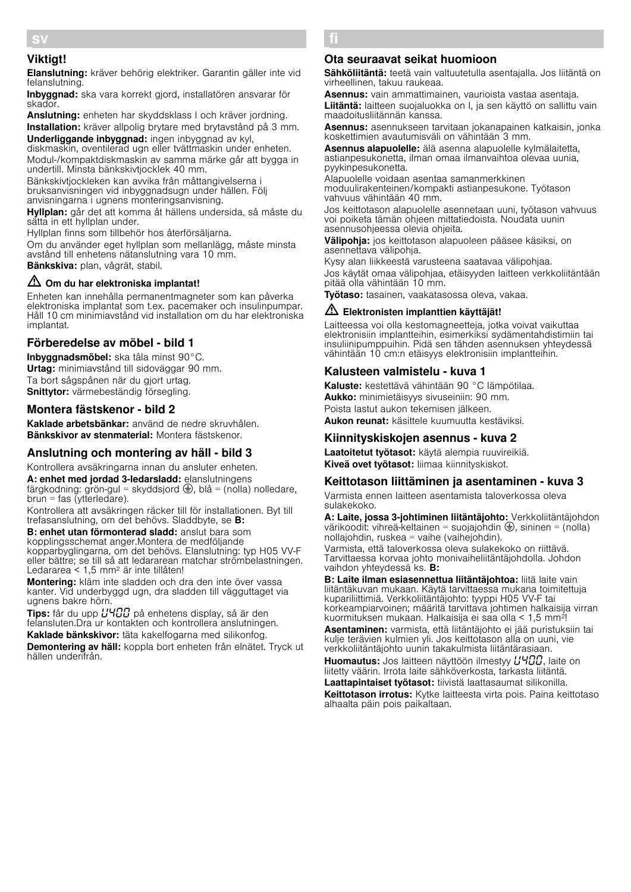# Viktigt!

Elanslutning: kräver behörig elektriker. Garantin gäller inte vid felanslutning.

Inbyggnad: ska vara korrekt gjord, installatören ansvarar för skador.

Anslutning: enheten har skyddsklass I och kräver jordning. Installation: kräver allpolig brytare med brytavstånd på 3 mm.

Underliggande inbyggnad: ingen inbyggnad av kyl, diskmaskin, oventilerad ugn eller tvättmaskin under enheten. Modul-/kompaktdiskmaskin av samma märke går att bygga in undertill. Minsta bänkskivtjocklek 40 mm.

Bänkskivtjockleken kan avvika från måttangivelserna i bruksanvisningen vid inbyggnadsugn under hällen. Följ anvisningarna i ugnens monteringsanvisning.

Hyllplan: går det att komma åt hällens undersida, så måste du sätta in ett hyllplan under.

Hyllplan finns som tillbehör hos återförsäljarna. Om du använder eget hyllplan som mellanlägg, måste minsta avstånd till enhetens nätanslutning vara 10 mm.

Bänkskiva: plan, vågrät, stabil.

# $\triangle$  Om du har elektroniska implantat!

Enheten kan innehålla permanentmagneter som kan påverka elektroniska implantat som t.ex. pacemaker och insulinpumpar. Håll 10 cm minimiavstånd vid installation om du har elektroniska implantat.

# Förberedelse av möbel - bild 1

Inbyggnadsmöbel: ska tåla minst 90°C. Urtag: minimiavstånd till sidoväggar 90 mm. Ta bort sågspånen när du gjort urtag. Snittytor: värmebeständig försegling.

# Montera fästskenor - bild 2

Kaklade arbetsbänkar: använd de nedre skruvhålen. Bänkskivor av stenmaterial: Montera fästskenor.

# Anslutning och montering av häll - bild 3

Kontrollera avsäkringarna innan du ansluter enheten. A: enhet med jordad 3-ledarsladd: elanslutningens färgkodning: grön-gul = skyddsjord  $\bigoplus$ , blå = (nolla) nolledare,  $brun = fas (ytterledare).$ 

Kontrollera att avsäkringen räcker till för installationen. Byt till trefasanslutning, om det behövs. Sladdbyte, se B:

B: enhet utan förmonterad sladd: anslut bara som kopplingsschemat anger.Montera de medföljande kopparbyglingarna, om det behövs. Elanslutning: typ H05 VV-F eller bättre; se till så att ledararean matchar strömbelastningen. Ledararea < 1,5 mm2 är inte tillåten!

Montering: kläm inte sladden och dra den inte över vassa kanter. Vid underbyggd ugn, dra sladden till vägguttaget via ugnens bakre hörn.

Tips: får du upp  $\mu$ 400 på enhetens display, så är den felansluten.Dra ur kontakten och kontrollera anslutningen.

Kaklade bänkskivor: täta kakelfogarna med silikonfog. Demontering av häll: koppla bort enheten från elnätet. Tryck ut hällen underifrån.

#### fi Ý Asennusohje

### Ota seuraavat seikat huomioon

Sähköliitäntä: teetä vain valtuutetulla asentajalla. Jos liitäntä on virheellinen, takuu raukeaa.

Asennus: vain ammattimainen, vaurioista vastaa asentaja. Liitäntä: laitteen suojaluokka on I, ja sen käyttö on sallittu vain maadoitusliitännän kanssa.

Asennus: asennukseen tarvitaan jokanapainen katkaisin, jonka koskettimien avautumisväli on vähintään 3 mm.

Asennus alapuolelle: älä asenna alapuolelle kylmälaitetta, astianpesukonetta, ilman omaa ilmanvaihtoa olevaa uunia, pyykinpesukonetta.

Alapuolelle voidaan asentaa samanmerkkinen moduulirakenteinen/kompakti astianpesukone. Työtason vahvuus vähintään 40 mm.

Jos keittotason alapuolelle asennetaan uuni, työtason vahvuus voi poiketa tämän ohjeen mittatiedoista. Noudata uunin asennusohjeessa olevia ohjeita.

Välipohja: jos keittotason alapuoleen pääsee käsiksi, on asennettava välipohja.

Kysy alan liikkeestä varusteena saatavaa välipohjaa. Jos käytät omaa välipohjaa, etäisyyden laitteen verkkoliitäntään pitää olla vähintään 10 mm.

Työtaso: tasainen, vaakatasossa oleva, vakaa.

### $\sqrt{2}$  Elektronisten implanttien käyttäjät!

Laitteessa voi olla kestomagneetteja, jotka voivat vaikuttaa elektronisiin implantteihin, esimerkiksi sydämentahdistimiin tai insuliinipumppuihin. Pidä sen tähden asennuksen yhteydessä vähintään 10 cm:n etäisyys elektronisiin implantteihin.

### Kalusteen valmistelu - kuva 1

Kaluste: kestettävä vähintään 90 °C lämpötilaa. Aukko: minimietäisyys sivuseiniin: 90 mm. Poista lastut aukon tekemisen jälkeen. Aukon reunat: käsittele kuumuutta kestäviksi.

# Kiinnityskiskojen asennus - kuva 2

Laatoitetut työtasot: käytä alempia ruuvireikiä. Kiveä ovet työtasot: liimaa kiinnityskiskot.

### Keittotason liittäminen ja asentaminen - kuva 3

Varmista ennen laitteen asentamista taloverkossa oleva sulakekoko.

A: Laite, jossa 3-johtiminen liitäntäjohto: Verkkoliitäntäjohdon värikoodit: vihreä-keltainen = suojajohdin  $\bigoplus$ , sininen = (nolla) nollajohdin, ruskea = vaihe (vaihejohdin). Varmista, että taloverkossa oleva sulakekoko on riittävä.

Tarvittaessa korvaa johto monivaiheliitäntäjohdolla. Johdon vaihdon yhteydessä ks. B:

B: Laite ilman esiasennettua liitäntäjohtoa: liitä laite vain liitäntäkuvan mukaan. Käytä tarvittaessa mukana toimitettuja kupariliittimiä. Verkkoliitäntäjohto: tyyppi H05 VV-F tai korkeampiarvoinen; määritä tarvittava johtimen halkaisija virran kuormituksen mukaan. Halkaisija ei saa olla < 1,5 mm2!

Asentaminen: varmista, että liitäntäjohto ei jää puristuksiin tai kulje terävien kulmien yli. Jos keittotason alla on uuni, vie verkkoliitäntäjohto uunin takakulmista liitäntärasiaan.

**Huomautus:** Jos laitteen näyttöön ilmestyy  $L$ <sup>4</sup> $L$ <sup>0</sup> $L$ , laite on liitetty väärin. Irrota laite sähköverkosta, tarkasta liitäntä. Laattapintaiset työtasot: tiivistä laattasaumat silikonilla.

Keittotason irrotus: Kytke laitteesta virta pois. Paina keittotaso alhaalta päin pois paikaltaan.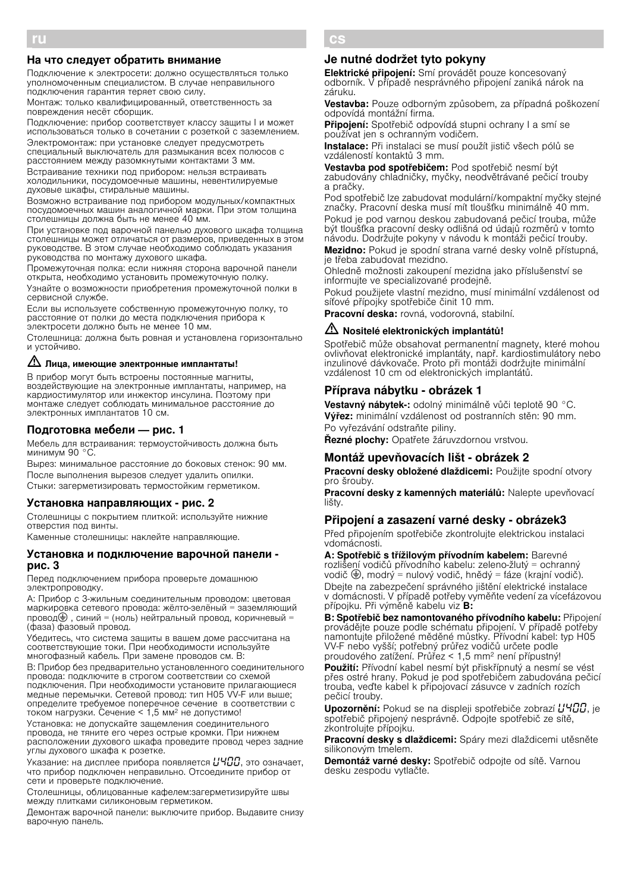### На что следует обратить внимание

Подключение к электросети: должно осуществляться только уполномоченным специалистом. В случае неправильного подключения гарантия теряет свою силу.

Монтаж: только квалифицированный, ответственность за повреждения несёт сборщик.

Подключение: прибор соответствует классу защиты I и может использоваться только в сочетании с розеткой с заземлением.

Электромонтаж: при установке следует предусмотреть специальный выключатель для размыкания всех полюсов с расстоянием между разомкнутыми контактами 3 мм.

Встраивание техники под прибором: нельзя встраивать холодильники, посудомоечные машины, невентилируемые духовые шкафы, стиральные машины.

Возможно встраивание под прибором модульных/компактных посудомоечных машин аналогичной марки. При этом толщина столешницы должна быть не менее 40 мм.

При установке под варочной панелью духового шкафа толщина столешницы может отличаться от размеров, приведенных в этом руководстве. В этом случае необходимо соблюдать указания руководства по монтажу духового шкафа.

Промежуточная полка: если нижняя сторона варочной панели открыта, необходимо установить промежуточную полку.

Узнайте о возможности приобретения промежуточной полки в сервисной службе.

Если вы используете собственную промежуточную полку, то расстояние от полки до места подключения прибора к электросети должно быть не менее 10 мм.

Столешница: должна быть ровная и установлена горизонтально и устойчиво.

# $\triangle$  Лица, имеющие электронные имплантаты!

В прибор могут быть встроены постоянные магниты, воздействующие на электронные имплантаты, например, на кардиостимулятор или инжектор инсулина. Поэтому при монтаже следует соблюдать минимальное расстояние до электронных имплантатов 10 см.

### Подготовка мебели — рис. 1

Мебель для встраивания: термоустойчивость должна быть минимум 90 °C.

Вырез: минимальное расстояние до боковых стенок: 90 мм. После выполнения вырезов следует удалить опилки. Стыки: загерметизировать термостойким герметиком.

#### Установка направляющих - рис. 2

Столешницы с покрытием плиткой: используйте нижние отверстия под винты.

Каменные столешницы: наклейте направляющие.

### Установка и подключение варочной панели рис. 3

Перед подключением прибора проверьте домашнюю электропроводку.

A: Прибор с 3-жильным соединительным проводом: цветовая маркировка сетевого провода: жёлто-зелёный = заземляющий провод $\bigcircled{=}$ , синий = (ноль) нейтральный провод, коричневый (фаза) фазовый провод.

Убедитесь, что система защиты в вашем доме рассчитана на соответствующие токи. При необходимости используйте многофазный кабель. При замене проводов см. B:

B: Прибор без предварительно установленного соединительного провода: подключите в строгом соответствии со схемой подключения. При необходимости установите прилагающиеся медные перемычки. Сетевой провод: тип H05 VV-F или выше; определите требуемое поперечное сечение в соответствии с током нагрузки. Сечение < 1,5 мм<sup>2</sup> не допустимо!

Установка: не допускайте защемления соединительного провода, не тяните его через острые кромки. При нижнем расположении духового шкафа проведите провод через задние углы духового шкафа к розетке.

Указание: на дисплее прибора появляется  $\mu$ Ч $\Box$ , это означает, что прибор подключен неправильно. Отсоедините прибор от сети и проверьте подключение.

Столешницы, облицованные кафелем:загерметизируйте швы между плитками силиконовым герметиком.

Демонтаж варочной панели: выключите прибор. Выдавите снизу варочную панель.

#### cs Ö Montážní návod

### Je nutné dodržet tyto pokyny

Elektrické připojení: Smí provádět pouze koncesovaný odborník. V případě nesprávného připojení zaniká nárok na záruku.

Vestavba: Pouze odborným způsobem, za případná poškození odpovídá montážní firma.

Připojení: Spotřebič odpovídá stupni ochrany I a smí se používat jen s ochranným vodičem.

Instalace: Při instalaci se musí použít jistič všech pólů se vzdáleností kontaktů 3 mm.

Vestavba pod spotřebičem: Pod spotřebič nesmí být zabudovány chladničky, myčky, neodvětrávané pečicí trouby a pračky.

Pod spotřebič lze zabudovat modulární/kompaktní myčky stejné značky. Pracovní deska musí mít tloušťku minimálně 40 mm. Pokud je pod varnou deskou zabudovaná pečicí trouba, může být tloušťka pracovní desky odlišná od údajů rozměrů v tomto návodu. Dodržujte pokyny v návodu k montáži pečicí trouby.

Mezidno: Pokud je spodní strana varné desky volně přístupná, je třeba zabudovat mezidno.

Ohledně možnosti zakoupení mezidna jako příslušenství se informujte ve specializované prodejně.

Pokud použijete vlastní mezidno, musí minimální vzdálenost od síťové přípojky spotřebiče činit 10 mm.

Pracovní deska: rovná, vodorovná, stabilní.

### $\langle \mathbf{A} \rangle$  Nositelé elektronických implantátů!

Spotřebič může obsahovat permanentní magnety, které mohou ovlivňovat elektronické implantáty, např. kardiostimulátory nebo inzulinové dávkovače. Proto při montáži dodržujte minimální vzdálenost 10 cm od elektronických implantátů.

### Příprava nábytku - obrázek 1

Vestavný nábytek-: odolný minimálně vůči teplotě 90 °C. Výřez: minimální vzdálenost od postranních stěn: 90 mm. Po vyřezávání odstraňte piliny.

Řezné plochy: Opatřete žáruvzdornou vrstvou.

### Montáž upevňovacích lišt - obrázek 2

Pracovní desky obložené dlaždicemi: Použijte spodní otvory pro šrouby.

Pracovní desky z kamenných materiálů: Nalepte upevňovací lišty.

### Připojení a zasazení varné desky - obrázek3

Před připojením spotřebiče zkontrolujte elektrickou instalaci vdomácnosti.

A: Spotřebič s třížilovým přívodním kabelem: Barevné rozlišení vodičů přívodního kabelu: zeleno-žlutý = ochranný vodič  $\bigoplus$ , modrý = nulový vodič, hnědý = fáze (krajní vodič). Dbejte na zabezpečení správného jištění elektrické instalace v domácnosti. V případě potřeby vyměňte vedení za vícefázovou přípojku. Při výměně kabelu viz B:

B: Spotřebič bez namontovaného přívodního kabelu: Připojení provádějte pouze podle schématu připojení. V případě potřeby namontujte přiložené měděné můstky. Přívodní kabel: typ H05 VV-F nebo vyšší; potřebný průřez vodičů určete podle proudového zatížení. Průřez < 1,5 mm2 není přípustný!

Použití: Přívodní kabel nesmí být přiskřípnutý a nesmí se vést přes ostré hrany. Pokud je pod spotřebičem zabudována pečicí trouba, veďte kabel k připojovací zásuvce v zadních rozích pečicí trouby.

**Upozornění:** Pokud se na displeji spotřebiče zobrazí  $L' H \Box G$ , je spotřebič připojený nesprávně. Odpojte spotřebič ze sítě, zkontrolujte přípojku.

Pracovní desky s dlaždicemi: Spáry mezi dlaždicemi utěsněte silikonovým tmelem.

Demontáž varné desky: Spotřebič odpojte od sítě. Varnou desku zespodu vytlačte.